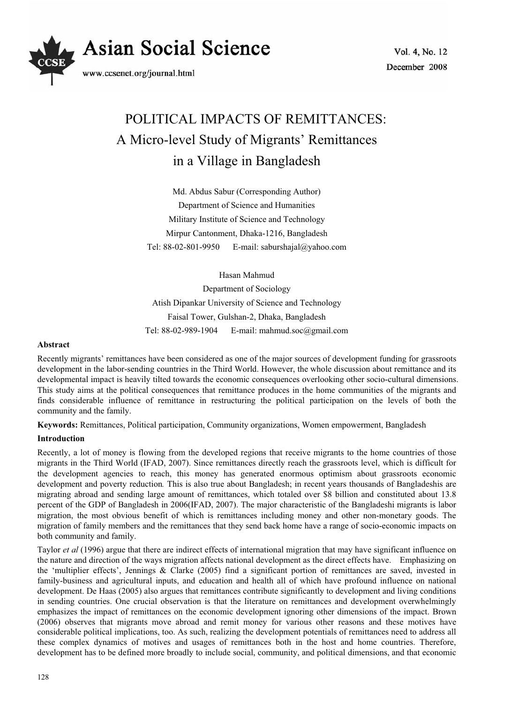

# POLITICAL IMPACTS OF REMITTANCES: A Micro-level Study of Migrants' Remittances in a Village in Bangladesh

Md. Abdus Sabur (Corresponding Author) Department of Science and Humanities Military Institute of Science and Technology Mirpur Cantonment, Dhaka-1216, Bangladesh Tel: 88-02-801-9950 E-mail: saburshajal@yahoo.com

Hasan Mahmud

Department of Sociology Atish Dipankar University of Science and Technology Faisal Tower, Gulshan-2, Dhaka, Bangladesh Tel: 88-02-989-1904 E-mail: mahmud.soc@gmail.com

## **Abstract**

Recently migrants' remittances have been considered as one of the major sources of development funding for grassroots development in the labor-sending countries in the Third World. However, the whole discussion about remittance and its developmental impact is heavily tilted towards the economic consequences overlooking other socio-cultural dimensions. This study aims at the political consequences that remittance produces in the home communities of the migrants and finds considerable influence of remittance in restructuring the political participation on the levels of both the community and the family.

**Keywords:** Remittances, Political participation, Community organizations, Women empowerment, Bangladesh

# **Introduction**

Recently, a lot of money is flowing from the developed regions that receive migrants to the home countries of those migrants in the Third World (IFAD, 2007). Since remittances directly reach the grassroots level, which is difficult for the development agencies to reach, this money has generated enormous optimism about grassroots economic development and poverty reduction*.* This is also true about Bangladesh; in recent years thousands of Bangladeshis are migrating abroad and sending large amount of remittances, which totaled over \$8 billion and constituted about 13.8 percent of the GDP of Bangladesh in 2006(IFAD, 2007). The major characteristic of the Bangladeshi migrants is labor migration, the most obvious benefit of which is remittances including money and other non-monetary goods. The migration of family members and the remittances that they send back home have a range of socio-economic impacts on both community and family.

Taylor *et al* (1996) argue that there are indirect effects of international migration that may have significant influence on the nature and direction of the ways migration affects national development as the direct effects have. Emphasizing on the 'multiplier effects', Jennings & Clarke (2005) find a significant portion of remittances are saved, invested in family-business and agricultural inputs, and education and health all of which have profound influence on national development. De Haas (2005) also argues that remittances contribute significantly to development and living conditions in sending countries. One crucial observation is that the literature on remittances and development overwhelmingly emphasizes the impact of remittances on the economic development ignoring other dimensions of the impact. Brown (2006) observes that migrants move abroad and remit money for various other reasons and these motives have considerable political implications, too. As such, realizing the development potentials of remittances need to address all these complex dynamics of motives and usages of remittances both in the host and home countries. Therefore, development has to be defined more broadly to include social, community, and political dimensions, and that economic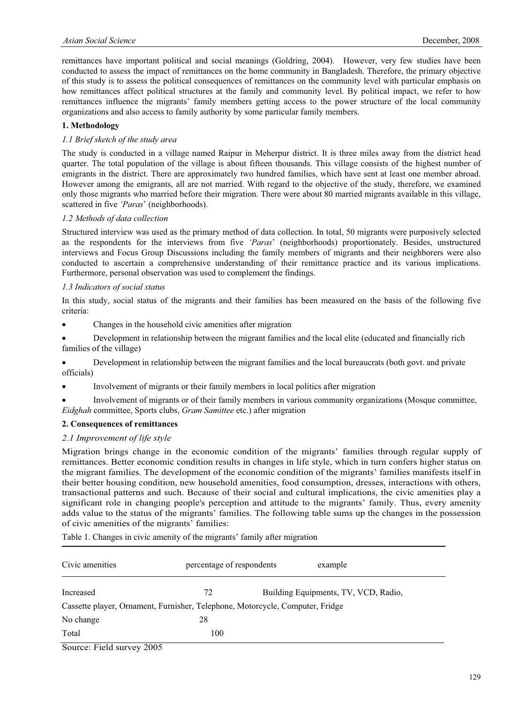remittances have important political and social meanings (Goldring, 2004). However, very few studies have been conducted to assess the impact of remittances on the home community in Bangladesh. Therefore, the primary objective of this study is to assess the political consequences of remittances on the community level with particular emphasis on how remittances affect political structures at the family and community level. By political impact, we refer to how remittances influence the migrants' family members getting access to the power structure of the local community organizations and also access to family authority by some particular family members.

# **1. Methodology**

## *1.1 Brief sketch of the study area*

The study is conducted in a village named Raipur in Meherpur district. It is three miles away from the district head quarter. The total population of the village is about fifteen thousands. This village consists of the highest number of emigrants in the district. There are approximately two hundred families, which have sent at least one member abroad. However among the emigrants, all are not married. With regard to the objective of the study, therefore, we examined only those migrants who married before their migration. There were about 80 married migrants available in this village, scattered in five *'Paras*' (neighborhoods).

# *1.2 Methods of data collection*

Structured interview was used as the primary method of data collection. In total, 50 migrants were purposively selected as the respondents for the interviews from five *'Paras*' (neighborhoods) proportionately. Besides, unstructured interviews and Focus Group Discussions including the family members of migrants and their neighborers were also conducted to ascertain a comprehensive understanding of their remittance practice and its various implications. Furthermore, personal observation was used to complement the findings.

# *1.3 Indicators of social status*

In this study, social status of the migrants and their families has been measured on the basis of the following five criteria:

- Changes in the household civic amenities after migration
- Development in relationship between the migrant families and the local elite (educated and financially rich families of the village)

• Development in relationship between the migrant families and the local bureaucrats (both govt. and private officials)

• Involvement of migrants or their family members in local politics after migration

x Involvement of migrants or of their family members in various community organizations (Mosque committee, *Eidghah* committee, Sports clubs, *Gram Samittee* etc.) after migration

## **2. Consequences of remittances**

## *2.1 Improvement of life style*

Migration brings change in the economic condition of the migrants' families through regular supply of remittances. Better economic condition results in changes in life style, which in turn confers higher status on the migrant families. The development of the economic condition of the migrants' families manifests itself in their better housing condition, new household amenities, food consumption, dresses, interactions with others, transactional patterns and such. Because of their social and cultural implications, the civic amenities play a significant role in changing people's perception and attitude to the migrants' family. Thus, every amenity adds value to the status of the migrants' families. The following table sums up the changes in the possession of civic amenities of the migrants' families:

Table 1. Changes in civic amenity of the migrants' family after migration

| Civic amenities                                                               | percentage of respondents | example                              |
|-------------------------------------------------------------------------------|---------------------------|--------------------------------------|
| Increased                                                                     | 72                        | Building Equipments, TV, VCD, Radio, |
| Cassette player, Ornament, Furnisher, Telephone, Motorcycle, Computer, Fridge |                           |                                      |
| No change                                                                     | 28                        |                                      |
| Total                                                                         | 100                       |                                      |

Source: Field survey 2005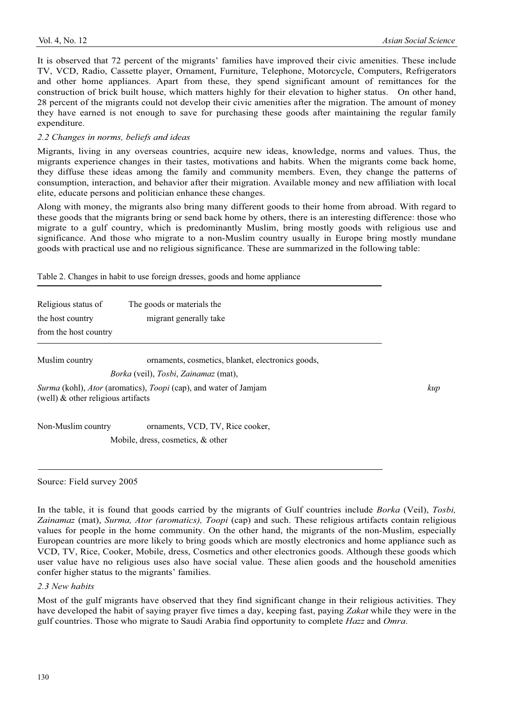It is observed that 72 percent of the migrants' families have improved their civic amenities. These include TV, VCD, Radio, Cassette player, Ornament, Furniture, Telephone, Motorcycle, Computers, Refrigerators and other home appliances. Apart from these, they spend significant amount of remittances for the construction of brick built house, which matters highly for their elevation to higher status. On other hand, 28 percent of the migrants could not develop their civic amenities after the migration. The amount of money they have earned is not enough to save for purchasing these goods after maintaining the regular family expenditure.

#### *2.2 Changes in norms, beliefs and ideas*

Migrants, living in any overseas countries, acquire new ideas, knowledge, norms and values. Thus, the migrants experience changes in their tastes, motivations and habits. When the migrants come back home, they diffuse these ideas among the family and community members. Even, they change the patterns of consumption, interaction, and behavior after their migration. Available money and new affiliation with local elite, educate persons and politician enhance these changes.

Along with money, the migrants also bring many different goods to their home from abroad. With regard to these goods that the migrants bring or send back home by others, there is an interesting difference: those who migrate to a gulf country, which is predominantly Muslim, bring mostly goods with religious use and significance. And those who migrate to a non-Muslim country usually in Europe bring mostly mundane goods with practical use and no religious significance. These are summarized in the following table:

Table 2. Changes in habit to use foreign dresses, goods and home appliance

| Religious status of<br>The goods or materials the |                                                                  |     |  |  |  |  |
|---------------------------------------------------|------------------------------------------------------------------|-----|--|--|--|--|
| the host country                                  | migrant generally take                                           |     |  |  |  |  |
| from the host country                             |                                                                  |     |  |  |  |  |
| Muslim country                                    | ornaments, cosmetics, blanket, electronics goods,                |     |  |  |  |  |
|                                                   | <i>Borka</i> (veil), <i>Tosbi</i> , <i>Zainamaz</i> (mat),       |     |  |  |  |  |
| (well) $\&$ other religious artifacts             | Surma (kohl), Ator (aromatics), Toopi (cap), and water of Jamjam | kup |  |  |  |  |
| Non-Muslim country                                | ornaments, VCD, TV, Rice cooker,                                 |     |  |  |  |  |
|                                                   | Mobile, dress, cosmetics, & other                                |     |  |  |  |  |

Source: Field survey 2005

In the table, it is found that goods carried by the migrants of Gulf countries include *Borka* (Veil), *Tosbi, Zainamaz* (mat), *Surma, Ator (aromatics), Toopi* (cap) and such. These religious artifacts contain religious values for people in the home community. On the other hand, the migrants of the non-Muslim, especially European countries are more likely to bring goods which are mostly electronics and home appliance such as VCD, TV, Rice, Cooker, Mobile, dress, Cosmetics and other electronics goods. Although these goods which user value have no religious uses also have social value. These alien goods and the household amenities confer higher status to the migrants' families.

#### *2.3 New habits*

Most of the gulf migrants have observed that they find significant change in their religious activities. They have developed the habit of saying prayer five times a day, keeping fast, paying *Zakat* while they were in the gulf countries. Those who migrate to Saudi Arabia find opportunity to complete *Hazz* and *Omra*.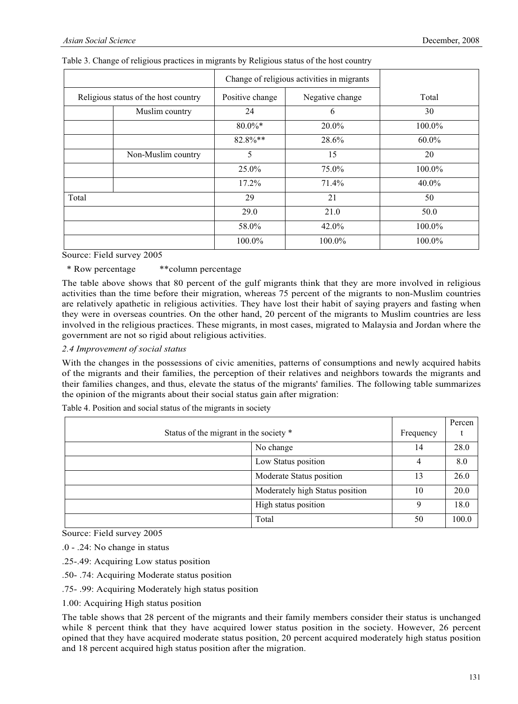|                                      |                | Change of religious activities in migrants |                 |          |
|--------------------------------------|----------------|--------------------------------------------|-----------------|----------|
| Religious status of the host country |                | Positive change                            | Negative change | Total    |
|                                      | Muslim country | 24                                         | 6               | 30       |
|                                      |                | $80.0\%$ *                                 | 20.0%           | 100.0%   |
|                                      |                | 82.8%**                                    | 28.6%           | $60.0\%$ |
| Non-Muslim country                   |                | 5                                          | 15              | 20       |
|                                      |                | 25.0%                                      | 75.0%           | 100.0%   |
|                                      |                | $17.2\%$                                   | 71.4%           | $40.0\%$ |
| Total                                |                | 29                                         | 21              | 50       |
|                                      |                | 29.0                                       | 21.0            | 50.0     |
|                                      |                | 58.0%                                      | 42.0%           | 100.0%   |
|                                      |                | 100.0%                                     | 100.0%          | 100.0%   |

## Table 3. Change of religious practices in migrants by Religious status of the host country

Source: Field survey 2005

\* Row percentage \*\*column percentage

The table above shows that 80 percent of the gulf migrants think that they are more involved in religious activities than the time before their migration, whereas 75 percent of the migrants to non-Muslim countries are relatively apathetic in religious activities. They have lost their habit of saying prayers and fasting when they were in overseas countries. On the other hand, 20 percent of the migrants to Muslim countries are less involved in the religious practices. These migrants, in most cases, migrated to Malaysia and Jordan where the government are not so rigid about religious activities.

*2.4 Improvement of social status* 

With the changes in the possessions of civic amenities, patterns of consumptions and newly acquired habits of the migrants and their families, the perception of their relatives and neighbors towards the migrants and their families changes, and thus, elevate the status of the migrants' families. The following table summarizes the opinion of the migrants about their social status gain after migration:

|                                        |           | Percen |
|----------------------------------------|-----------|--------|
| Status of the migrant in the society * | Frequency |        |
| No change                              | 14        | 28.0   |
| Low Status position                    | 4         | 8.0    |
| Moderate Status position               | 13        | 26.0   |
| Moderately high Status position        | 10        | 20.0   |
| High status position                   | 9         | 18.0   |
| Total                                  | 50        | 100.0  |

Table 4. Position and social status of the migrants in society

Source: Field survey 2005

.0 - .24: No change in status

- .25-.49: Acquiring Low status position
- .50- .74: Acquiring Moderate status position
- .75- .99: Acquiring Moderately high status position

1.00: Acquiring High status position

The table shows that 28 percent of the migrants and their family members consider their status is unchanged while 8 percent think that they have acquired lower status position in the society. However, 26 percent opined that they have acquired moderate status position, 20 percent acquired moderately high status position and 18 percent acquired high status position after the migration.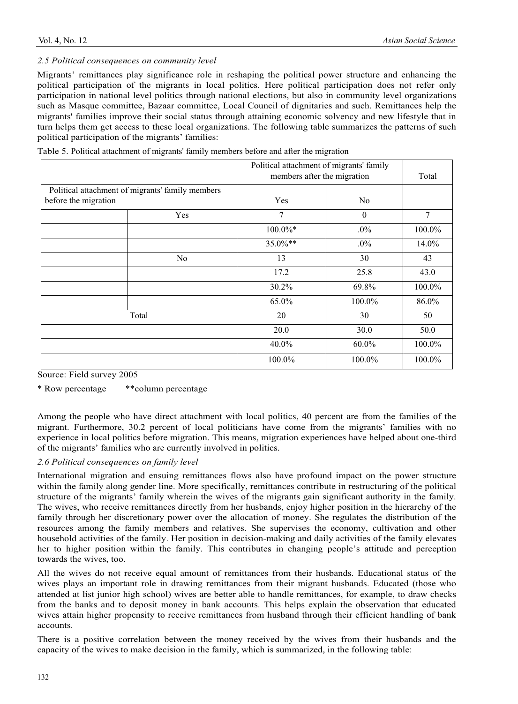# *2.5 Political consequences on community level*

Migrants' remittances play significance role in reshaping the political power structure and enhancing the political participation of the migrants in local politics. Here political participation does not refer only participation in national level politics through national elections, but also in community level organizations such as Masque committee, Bazaar committee, Local Council of dignitaries and such. Remittances help the migrants' families improve their social status through attaining economic solvency and new lifestyle that in turn helps them get access to these local organizations. The following table summarizes the patterns of such political participation of the migrants' families:

|  |  | Table 5. Political attachment of migrants' family members before and after the migration |
|--|--|------------------------------------------------------------------------------------------|
|  |  |                                                                                          |

|                      |                                                  | Political attachment of migrants' family<br>members after the migration |              | Total  |
|----------------------|--------------------------------------------------|-------------------------------------------------------------------------|--------------|--------|
|                      | Political attachment of migrants' family members |                                                                         |              |        |
| before the migration |                                                  | Yes                                                                     | No           |        |
|                      | Yes                                              | 7                                                                       | $\mathbf{0}$ | 7      |
|                      |                                                  | $100.0\%*$                                                              | $.0\%$       | 100.0% |
|                      |                                                  | 35.0%**                                                                 | $.0\%$       | 14.0%  |
|                      | No.                                              | 13                                                                      | 30           | 43     |
|                      |                                                  | 17.2                                                                    | 25.8         | 43.0   |
|                      |                                                  | 30.2%                                                                   | 69.8%        | 100.0% |
|                      |                                                  | 65.0%                                                                   | 100.0%       | 86.0%  |
| Total                |                                                  | 20                                                                      | 30           | 50     |
|                      |                                                  | 20.0                                                                    | 30.0         | 50.0   |
|                      |                                                  | 40.0%                                                                   | 60.0%        | 100.0% |
|                      |                                                  | 100.0%                                                                  | 100.0%       | 100.0% |

Source: Field survey 2005

\* Row percentage \*\*column percentage

Among the people who have direct attachment with local politics, 40 percent are from the families of the migrant. Furthermore, 30.2 percent of local politicians have come from the migrants' families with no experience in local politics before migration. This means, migration experiences have helped about one-third of the migrants' families who are currently involved in politics.

# *2.6 Political consequences on family level*

International migration and ensuing remittances flows also have profound impact on the power structure within the family along gender line. More specifically, remittances contribute in restructuring of the political structure of the migrants' family wherein the wives of the migrants gain significant authority in the family. The wives, who receive remittances directly from her husbands, enjoy higher position in the hierarchy of the family through her discretionary power over the allocation of money. She regulates the distribution of the resources among the family members and relatives. She supervises the economy, cultivation and other household activities of the family. Her position in decision-making and daily activities of the family elevates her to higher position within the family. This contributes in changing people's attitude and perception towards the wives, too.

All the wives do not receive equal amount of remittances from their husbands. Educational status of the wives plays an important role in drawing remittances from their migrant husbands. Educated (those who attended at list junior high school) wives are better able to handle remittances, for example, to draw checks from the banks and to deposit money in bank accounts. This helps explain the observation that educated wives attain higher propensity to receive remittances from husband through their efficient handling of bank accounts.

There is a positive correlation between the money received by the wives from their husbands and the capacity of the wives to make decision in the family, which is summarized, in the following table: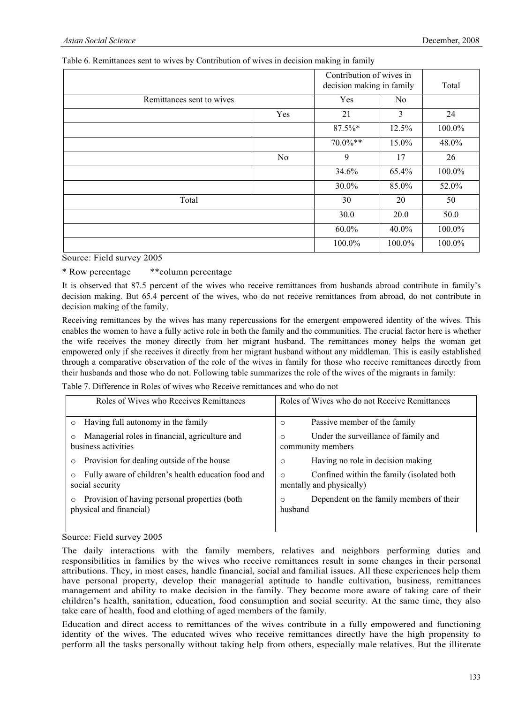|                           |                | Contribution of wives in<br>decision making in family | Total          |        |
|---------------------------|----------------|-------------------------------------------------------|----------------|--------|
| Remittances sent to wives |                | Yes                                                   | N <sub>0</sub> |        |
|                           | Yes            | 21                                                    | 3              | 24     |
|                           |                | 87.5%*                                                | 12.5%          | 100.0% |
|                           |                | $70.0\%**$                                            | $15.0\%$       | 48.0%  |
|                           | N <sub>0</sub> | 9                                                     | 17             | 26     |
|                           |                | 34.6%                                                 | 65.4%          | 100.0% |
|                           |                | 30.0%                                                 | 85.0%          | 52.0%  |
| Total                     |                | 30                                                    | 20             | 50     |
|                           |                | 30.0                                                  | 20.0           | 50.0   |
|                           |                | $60.0\%$                                              | 40.0%          | 100.0% |
|                           |                | 100.0%                                                | 100.0%         | 100.0% |

## Table 6. Remittances sent to wives by Contribution of wives in decision making in family

Source: Field survey 2005

\* Row percentage \*\*column percentage

It is observed that 87.5 percent of the wives who receive remittances from husbands abroad contribute in family's decision making. But 65.4 percent of the wives, who do not receive remittances from abroad, do not contribute in decision making of the family.

Receiving remittances by the wives has many repercussions for the emergent empowered identity of the wives. This enables the women to have a fully active role in both the family and the communities. The crucial factor here is whether the wife receives the money directly from her migrant husband. The remittances money helps the woman get empowered only if she receives it directly from her migrant husband without any middleman. This is easily established through a comparative observation of the role of the wives in family for those who receive remittances directly from their husbands and those who do not. Following table summarizes the role of the wives of the migrants in family:

|  |  |  |  | Table 7. Difference in Roles of wives who Receive remittances and who do not |  |  |
|--|--|--|--|------------------------------------------------------------------------------|--|--|
|  |  |  |  |                                                                              |  |  |

| Roles of Wives who Receives Remittances             | Roles of Wives who do not Receive Remittances |
|-----------------------------------------------------|-----------------------------------------------|
| Having full autonomy in the family                  | Passive member of the family                  |
| $\circ$                                             | $\circ$                                       |
| Managerial roles in financial, agriculture and      | Under the surveillance of family and          |
| $\circ$                                             | $\circ$                                       |
| business activities                                 | community members                             |
| Provision for dealing outside of the house          | Having no role in decision making             |
| $\circ$                                             | $\circ$                                       |
| Fully aware of children's health education food and | Confined within the family (isolated both     |
| $\circ$                                             | $\circ$                                       |
| social security                                     | mentally and physically)                      |
| Provision of having personal properties (both       | Dependent on the family members of their      |
| $\circ$                                             | $\circ$                                       |
| physical and financial)                             | husband                                       |

Source: Field survey 2005

The daily interactions with the family members, relatives and neighbors performing duties and responsibilities in families by the wives who receive remittances result in some changes in their personal attributions. They, in most cases, handle financial, social and familial issues. All these experiences help them have personal property, develop their managerial aptitude to handle cultivation, business, remittances management and ability to make decision in the family. They become more aware of taking care of their children's health, sanitation, education, food consumption and social security. At the same time, they also take care of health, food and clothing of aged members of the family.

Education and direct access to remittances of the wives contribute in a fully empowered and functioning identity of the wives. The educated wives who receive remittances directly have the high propensity to perform all the tasks personally without taking help from others, especially male relatives. But the illiterate